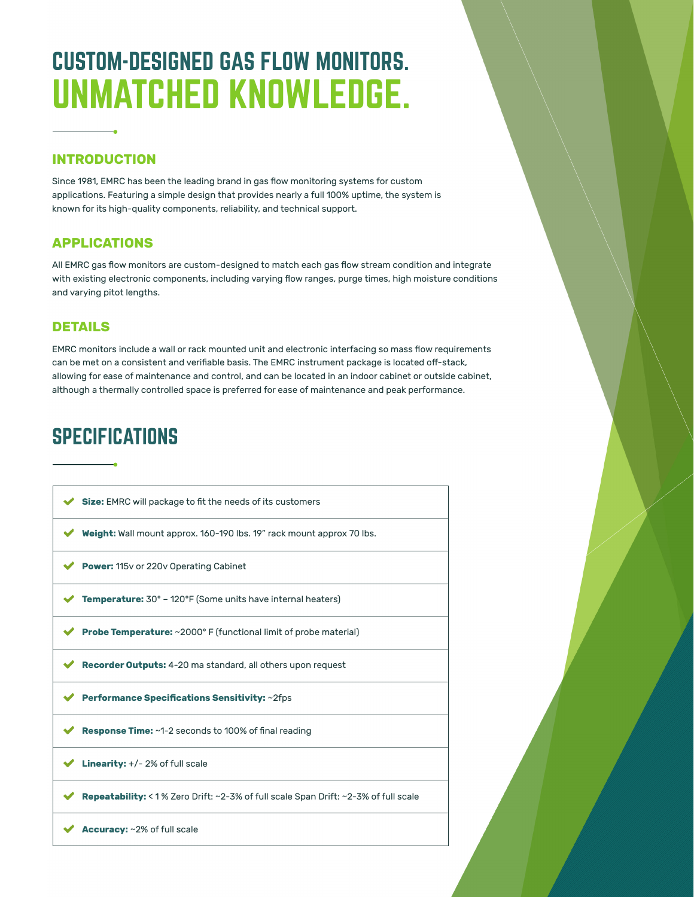# CUSTOM-DESIGNED GAS FLOW MONITORS. UNMATCHED KNOWLEDGE.

#### **INTRODUCTION**

Since 1981, EMRC has been the leading brand in gas flow monitoring systems for custom applications. Featuring a simple design that provides nearly a full 100% uptime, the system is known for its high-quality components, reliability, and technical support.

### **APPLICATIONS**

All EMRC gas flow monitors are custom-designed to match each gas flow stream condition and integrate with existing electronic components, including varying flow ranges, purge times, high moisture conditions and varying pitot lengths.

#### **DETAILS**

EMRC monitors include a wall or rack mounted unit and electronic interfacing so mass flow requirements can be met on a consistent and verifiable basis. The EMRC instrument package is located off-stack, allowing for ease of maintenance and control, and can be located in an indoor cabinet or outside cabinet, although a thermally controlled space is preferred for ease of maintenance and peak performance.

## **SPECIFICATIONS**

| <b>Size:</b> EMRC will package to fit the needs of its customers                            |
|---------------------------------------------------------------------------------------------|
| <b>Weight:</b> Wall mount approx. 160-190 lbs. 19" rack mount approx 70 lbs.                |
| <b>Power:</b> 115v or 220v Operating Cabinet                                                |
| <b>Temperature:</b> 30° - 120°F (Some units have internal heaters)                          |
| <b>Probe Temperature:</b> ~2000° F (functional limit of probe material)                     |
| <b>Recorder Outputs:</b> 4-20 ma standard, all others upon request                          |
| Performance Specifications Sensitivity: ~2fps                                               |
| <b>Response Time:</b> ~1-2 seconds to 100% of final reading                                 |
| <b>Linearity:</b> $+/- 2\%$ of full scale                                                   |
| <b>Repeatability:</b> < 1 % Zero Drift: ~2-3% of full scale Span Drift: ~2-3% of full scale |
| <b>Accuracy:</b> ~2% of full scale                                                          |